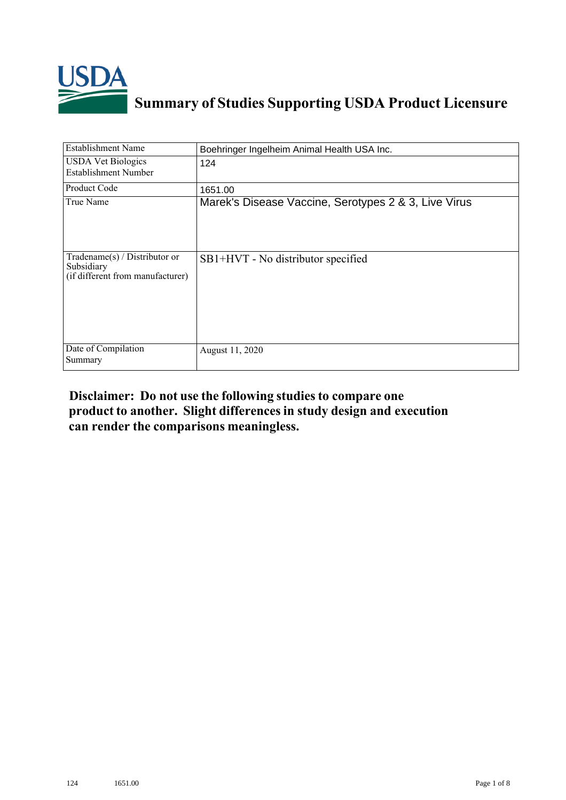

## **Summary of Studies Supporting USDA Product Licensure**

| <b>Establishment Name</b>                                                       | Boehringer Ingelheim Animal Health USA Inc.          |
|---------------------------------------------------------------------------------|------------------------------------------------------|
| <b>USDA Vet Biologics</b><br><b>Establishment Number</b>                        | 124                                                  |
| <b>Product Code</b>                                                             | 1651.00                                              |
| True Name                                                                       | Marek's Disease Vaccine, Serotypes 2 & 3, Live Virus |
| Tradename(s) / Distributor or<br>Subsidiary<br>(if different from manufacturer) | SB1+HVT - No distributor specified                   |
| Date of Compilation<br>Summary                                                  | August 11, 2020                                      |

## **Disclaimer: Do not use the following studiesto compare one product to another. Slight differencesin study design and execution can render the comparisons meaningless.**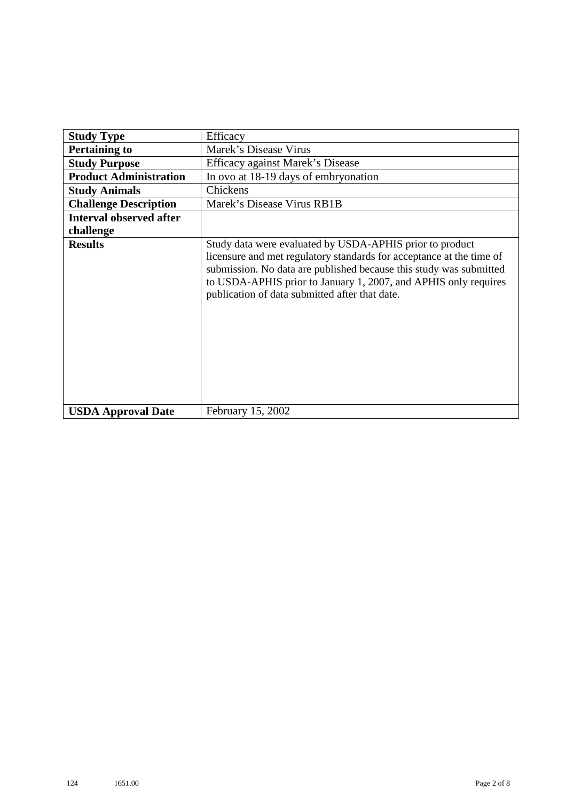| <b>Study Type</b>              | Efficacy                                                                                                                                                                                                                                                                                                                    |
|--------------------------------|-----------------------------------------------------------------------------------------------------------------------------------------------------------------------------------------------------------------------------------------------------------------------------------------------------------------------------|
| <b>Pertaining to</b>           | Marek's Disease Virus                                                                                                                                                                                                                                                                                                       |
| <b>Study Purpose</b>           | Efficacy against Marek's Disease                                                                                                                                                                                                                                                                                            |
|                                |                                                                                                                                                                                                                                                                                                                             |
| <b>Product Administration</b>  | In ovo at 18-19 days of embryonation                                                                                                                                                                                                                                                                                        |
| <b>Study Animals</b>           | Chickens                                                                                                                                                                                                                                                                                                                    |
| <b>Challenge Description</b>   | Marek's Disease Virus RB1B                                                                                                                                                                                                                                                                                                  |
| <b>Interval observed after</b> |                                                                                                                                                                                                                                                                                                                             |
| challenge                      |                                                                                                                                                                                                                                                                                                                             |
| <b>Results</b>                 | Study data were evaluated by USDA-APHIS prior to product<br>licensure and met regulatory standards for acceptance at the time of<br>submission. No data are published because this study was submitted<br>to USDA-APHIS prior to January 1, 2007, and APHIS only requires<br>publication of data submitted after that date. |
| <b>USDA Approval Date</b>      | February 15, 2002                                                                                                                                                                                                                                                                                                           |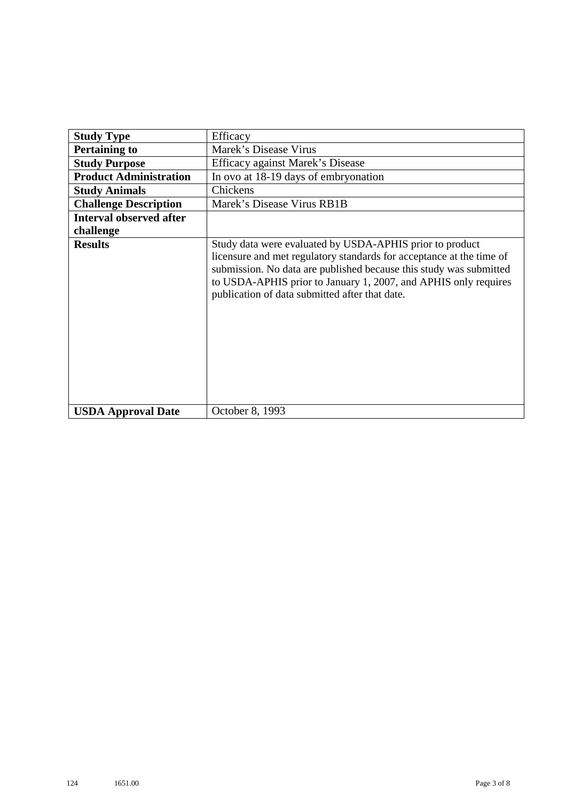| <b>Study Type</b>              | Efficacy                                                                                                                                                                                                                                                                                                                    |
|--------------------------------|-----------------------------------------------------------------------------------------------------------------------------------------------------------------------------------------------------------------------------------------------------------------------------------------------------------------------------|
| <b>Pertaining to</b>           | Marek's Disease Virus                                                                                                                                                                                                                                                                                                       |
| <b>Study Purpose</b>           | Efficacy against Marek's Disease                                                                                                                                                                                                                                                                                            |
| <b>Product Administration</b>  | In ovo at 18-19 days of embryonation                                                                                                                                                                                                                                                                                        |
| <b>Study Animals</b>           | Chickens                                                                                                                                                                                                                                                                                                                    |
| <b>Challenge Description</b>   | Marek's Disease Virus RB1B                                                                                                                                                                                                                                                                                                  |
| <b>Interval observed after</b> |                                                                                                                                                                                                                                                                                                                             |
| challenge                      |                                                                                                                                                                                                                                                                                                                             |
| <b>Results</b>                 | Study data were evaluated by USDA-APHIS prior to product<br>licensure and met regulatory standards for acceptance at the time of<br>submission. No data are published because this study was submitted<br>to USDA-APHIS prior to January 1, 2007, and APHIS only requires<br>publication of data submitted after that date. |
| <b>USDA Approval Date</b>      | October 8, 1993                                                                                                                                                                                                                                                                                                             |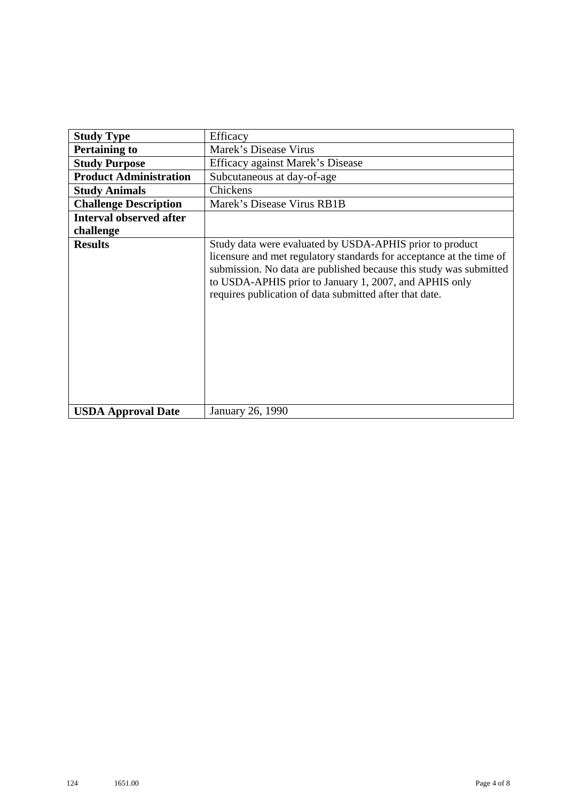| <b>Study Type</b>              | Efficacy                                                                                                                                                                                                                                                                                                                    |
|--------------------------------|-----------------------------------------------------------------------------------------------------------------------------------------------------------------------------------------------------------------------------------------------------------------------------------------------------------------------------|
| <b>Pertaining to</b>           | Marek's Disease Virus                                                                                                                                                                                                                                                                                                       |
| <b>Study Purpose</b>           | Efficacy against Marek's Disease                                                                                                                                                                                                                                                                                            |
| <b>Product Administration</b>  | Subcutaneous at day-of-age                                                                                                                                                                                                                                                                                                  |
| <b>Study Animals</b>           | Chickens                                                                                                                                                                                                                                                                                                                    |
| <b>Challenge Description</b>   | Marek's Disease Virus RB1B                                                                                                                                                                                                                                                                                                  |
| <b>Interval observed after</b> |                                                                                                                                                                                                                                                                                                                             |
| challenge                      |                                                                                                                                                                                                                                                                                                                             |
| <b>Results</b>                 | Study data were evaluated by USDA-APHIS prior to product<br>licensure and met regulatory standards for acceptance at the time of<br>submission. No data are published because this study was submitted<br>to USDA-APHIS prior to January 1, 2007, and APHIS only<br>requires publication of data submitted after that date. |
| <b>USDA Approval Date</b>      | January 26, 1990                                                                                                                                                                                                                                                                                                            |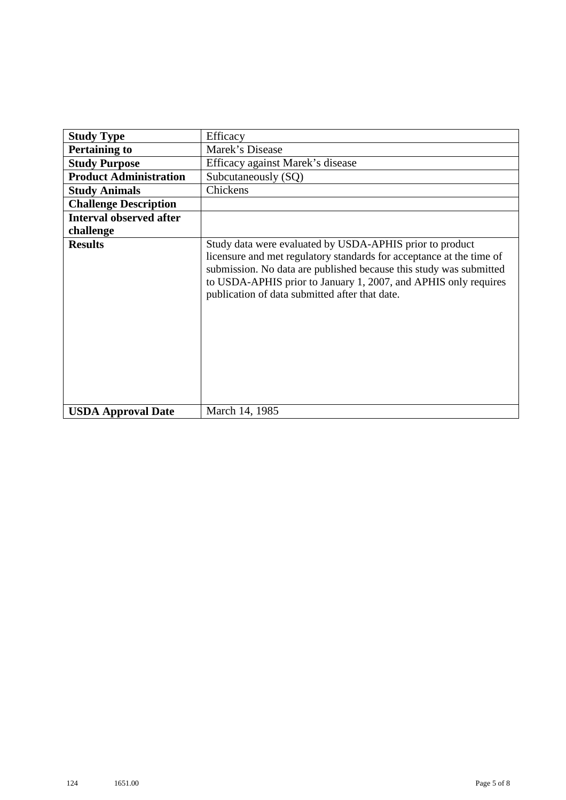| <b>Study Type</b>              | Efficacy                                                                                                                                                                                                                                                                                                                    |
|--------------------------------|-----------------------------------------------------------------------------------------------------------------------------------------------------------------------------------------------------------------------------------------------------------------------------------------------------------------------------|
| <b>Pertaining to</b>           | Marek's Disease                                                                                                                                                                                                                                                                                                             |
| <b>Study Purpose</b>           | Efficacy against Marek's disease                                                                                                                                                                                                                                                                                            |
| <b>Product Administration</b>  | Subcutaneously (SQ)                                                                                                                                                                                                                                                                                                         |
| <b>Study Animals</b>           | Chickens                                                                                                                                                                                                                                                                                                                    |
| <b>Challenge Description</b>   |                                                                                                                                                                                                                                                                                                                             |
| <b>Interval observed after</b> |                                                                                                                                                                                                                                                                                                                             |
| challenge                      |                                                                                                                                                                                                                                                                                                                             |
| <b>Results</b>                 | Study data were evaluated by USDA-APHIS prior to product<br>licensure and met regulatory standards for acceptance at the time of<br>submission. No data are published because this study was submitted<br>to USDA-APHIS prior to January 1, 2007, and APHIS only requires<br>publication of data submitted after that date. |
| <b>USDA Approval Date</b>      | March 14, 1985                                                                                                                                                                                                                                                                                                              |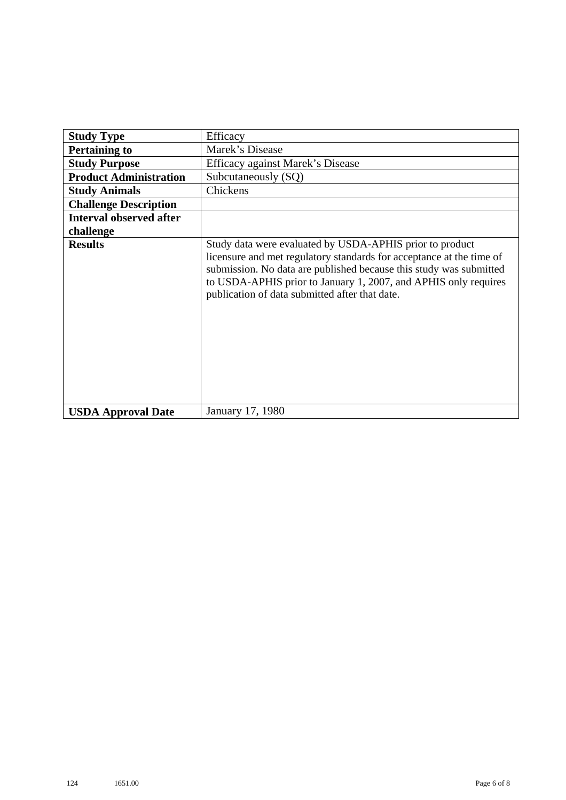| <b>Study Type</b>              | Efficacy                                                                                                                                                                                                                                                                                                                    |
|--------------------------------|-----------------------------------------------------------------------------------------------------------------------------------------------------------------------------------------------------------------------------------------------------------------------------------------------------------------------------|
| <b>Pertaining to</b>           | Marek's Disease                                                                                                                                                                                                                                                                                                             |
| <b>Study Purpose</b>           | Efficacy against Marek's Disease                                                                                                                                                                                                                                                                                            |
| <b>Product Administration</b>  | Subcutaneously (SQ)                                                                                                                                                                                                                                                                                                         |
| <b>Study Animals</b>           | Chickens                                                                                                                                                                                                                                                                                                                    |
| <b>Challenge Description</b>   |                                                                                                                                                                                                                                                                                                                             |
| <b>Interval observed after</b> |                                                                                                                                                                                                                                                                                                                             |
| challenge                      |                                                                                                                                                                                                                                                                                                                             |
| <b>Results</b>                 | Study data were evaluated by USDA-APHIS prior to product<br>licensure and met regulatory standards for acceptance at the time of<br>submission. No data are published because this study was submitted<br>to USDA-APHIS prior to January 1, 2007, and APHIS only requires<br>publication of data submitted after that date. |
| <b>USDA Approval Date</b>      | January 17, 1980                                                                                                                                                                                                                                                                                                            |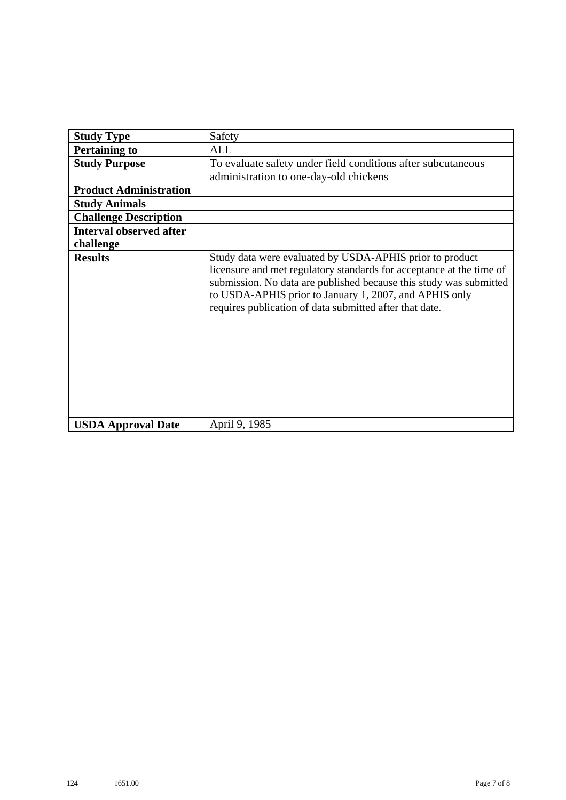| <b>Study Type</b>              | Safety                                                                                                                                                                                                                                                                                                                      |
|--------------------------------|-----------------------------------------------------------------------------------------------------------------------------------------------------------------------------------------------------------------------------------------------------------------------------------------------------------------------------|
| <b>Pertaining to</b>           | ALL                                                                                                                                                                                                                                                                                                                         |
| <b>Study Purpose</b>           | To evaluate safety under field conditions after subcutaneous                                                                                                                                                                                                                                                                |
|                                | administration to one-day-old chickens                                                                                                                                                                                                                                                                                      |
| <b>Product Administration</b>  |                                                                                                                                                                                                                                                                                                                             |
| <b>Study Animals</b>           |                                                                                                                                                                                                                                                                                                                             |
| <b>Challenge Description</b>   |                                                                                                                                                                                                                                                                                                                             |
| <b>Interval observed after</b> |                                                                                                                                                                                                                                                                                                                             |
| challenge                      |                                                                                                                                                                                                                                                                                                                             |
| <b>Results</b>                 | Study data were evaluated by USDA-APHIS prior to product<br>licensure and met regulatory standards for acceptance at the time of<br>submission. No data are published because this study was submitted<br>to USDA-APHIS prior to January 1, 2007, and APHIS only<br>requires publication of data submitted after that date. |
| <b>USDA Approval Date</b>      | April 9, 1985                                                                                                                                                                                                                                                                                                               |